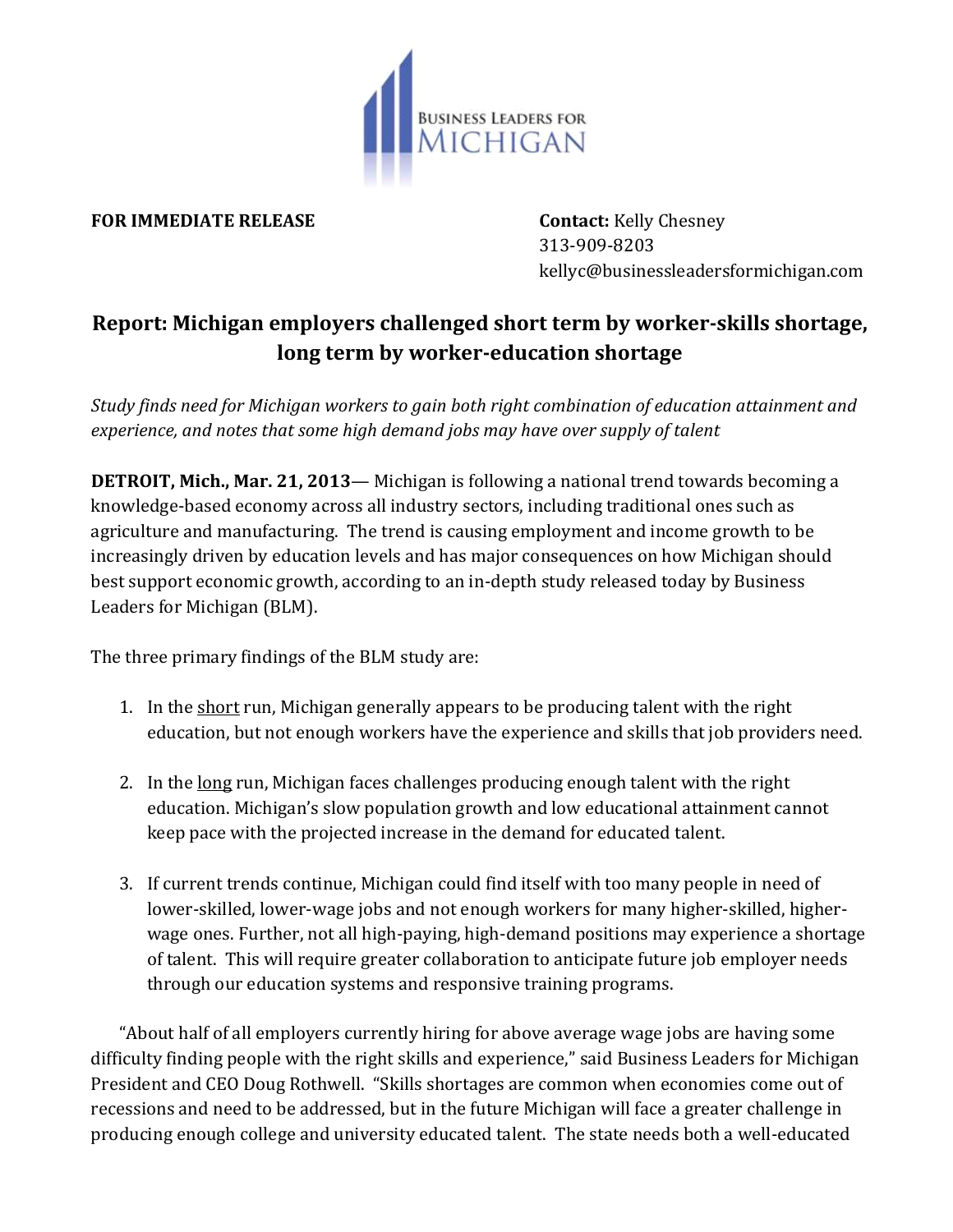

## **FOR IMMEDIATE RELEASE Contact:** Kelly Chesney

313-909-8203 kellyc@businessleadersformichigan.com

## **Report: Michigan employers challenged short term by worker-skills shortage, long term by worker-education shortage**

*Study finds need for Michigan workers to gain both right combination of education attainment and experience, and notes that some high demand jobs may have over supply of talent*

**DETROIT, Mich., Mar. 21, 2013**— Michigan is following a national trend towards becoming a knowledge-based economy across all industry sectors, including traditional ones such as agriculture and manufacturing. The trend is causing employment and income growth to be increasingly driven by education levels and has major consequences on how Michigan should best support economic growth, according to an in-depth study released today by Business Leaders for Michigan (BLM).

The three primary findings of the BLM study are:

- 1. In the short run, Michigan generally appears to be producing talent with the right education, but not enough workers have the experience and skills that job providers need.
- 2. In the long run, Michigan faces challenges producing enough talent with the right education. Michigan's slow population growth and low educational attainment cannot keep pace with the projected increase in the demand for educated talent.
- 3. If current trends continue, Michigan could find itself with too many people in need of lower-skilled, lower-wage jobs and not enough workers for many higher-skilled, higherwage ones. Further, not all high-paying, high-demand positions may experience a shortage of talent. This will require greater collaboration to anticipate future job employer needs through our education systems and responsive training programs.

"About half of all employers currently hiring for above average wage jobs are having some difficulty finding people with the right skills and experience," said Business Leaders for Michigan President and CEO Doug Rothwell. "Skills shortages are common when economies come out of recessions and need to be addressed, but in the future Michigan will face a greater challenge in producing enough college and university educated talent. The state needs both a well-educated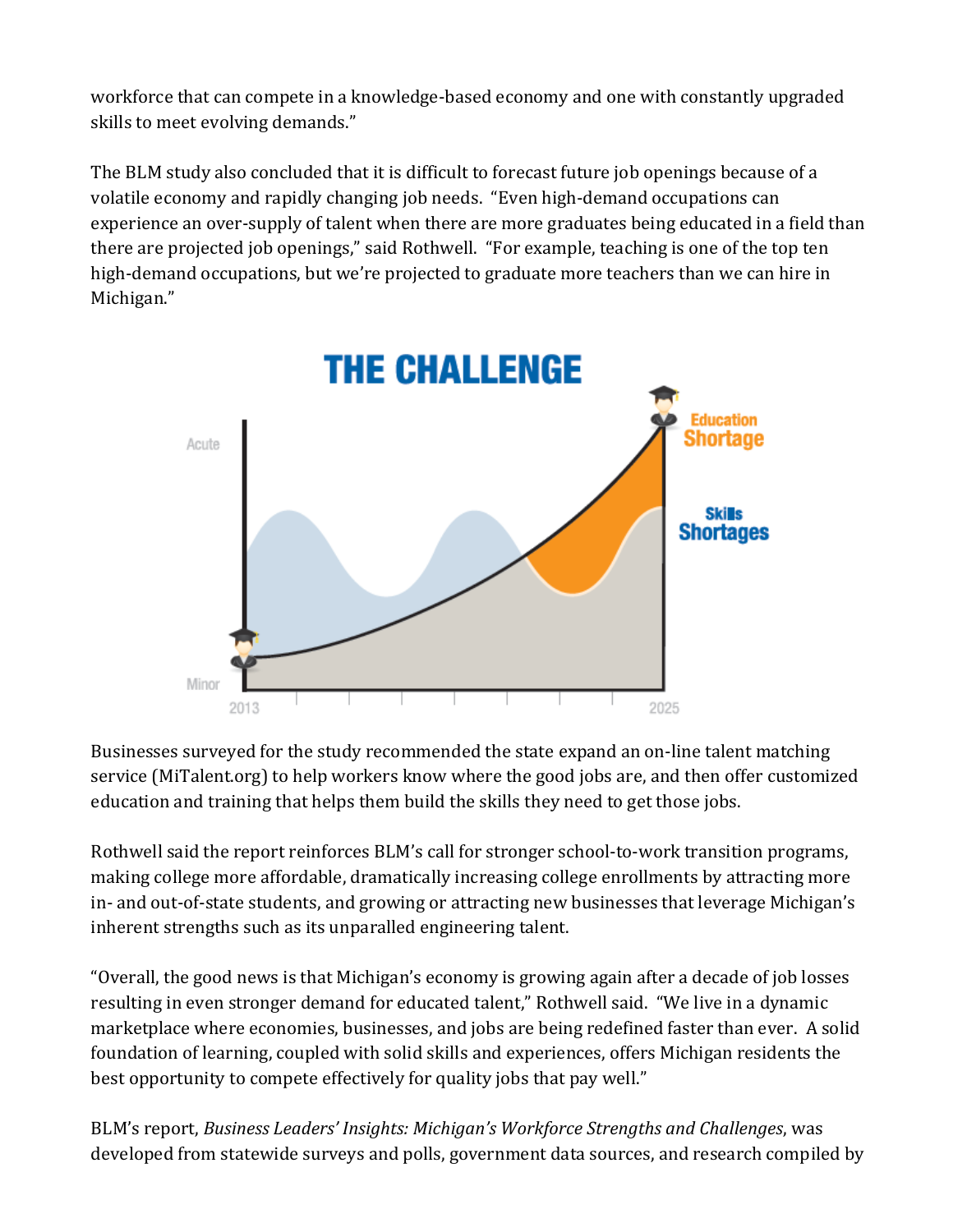workforce that can compete in a knowledge-based economy and one with constantly upgraded skills to meet evolving demands."

The BLM study also concluded that it is difficult to forecast future job openings because of a volatile economy and rapidly changing job needs. "Even high-demand occupations can experience an over-supply of talent when there are more graduates being educated in a field than there are projected job openings," said Rothwell. "For example, teaching is one of the top ten high-demand occupations, but we're projected to graduate more teachers than we can hire in Michigan."



Businesses surveyed for the study recommended the state expand an on-line talent matching service (MiTalent.org) to help workers know where the good jobs are, and then offer customized education and training that helps them build the skills they need to get those jobs.

Rothwell said the report reinforces BLM's call for stronger school-to-work transition programs, making college more affordable, dramatically increasing college enrollments by attracting more in- and out-of-state students, and growing or attracting new businesses that leverage Michigan's inherent strengths such as its unparalled engineering talent.

"Overall, the good news is that Michigan's economy is growing again after a decade of job losses resulting in even stronger demand for educated talent," Rothwell said. "We live in a dynamic marketplace where economies, businesses, and jobs are being redefined faster than ever. A solid foundation of learning, coupled with solid skills and experiences, offers Michigan residents the best opportunity to compete effectively for quality jobs that pay well."

BLM's report, *Business Leaders' Insights: Michigan's Workforce Strengths and Challenges*, was developed from statewide surveys and polls, government data sources, and research compiled by